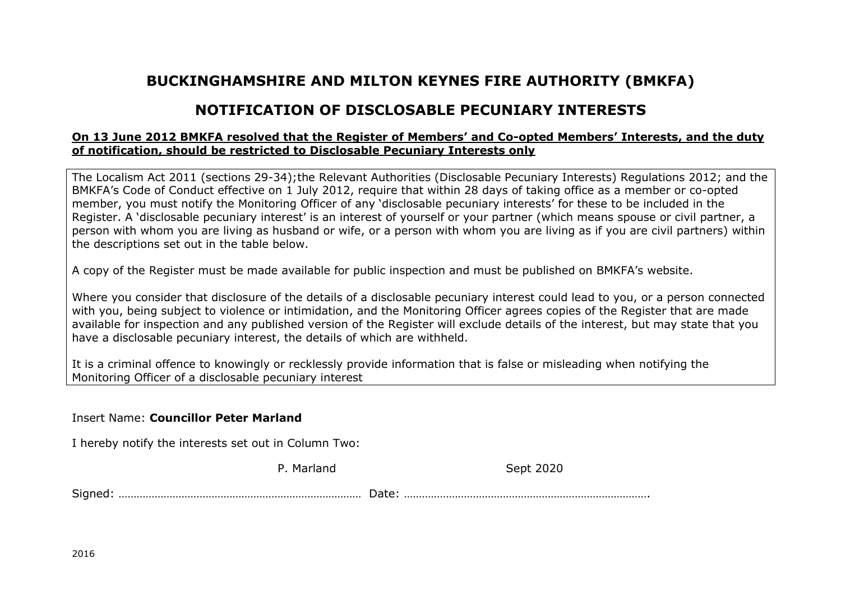## **BUCKINGHAMSHIRE AND MILTON KEYNES FIRE AUTHORITY (BMKFA)**

## **NOTIFICATION OF DISCLOSABLE PECUNIARY INTERESTS**

## **On 13 June 2012 BMKFA resolved that the Register of Members' and Co-opted Members' Interests, and the duty of notification, should be restricted to Disclosable Pecuniary Interests only**

The Localism Act 2011 (sections 29-34);the Relevant Authorities (Disclosable Pecuniary Interests) Regulations 2012; and the BMKFA's Code of Conduct effective on 1 July 2012, require that within 28 days of taking office as a member or co-opted member, you must notify the Monitoring Officer of any 'disclosable pecuniary interests' for these to be included in the Register. A 'disclosable pecuniary interest' is an interest of yourself or your partner (which means spouse or civil partner, a person with whom you are living as husband or wife, or a person with whom you are living as if you are civil partners) within the descriptions set out in the table below.

A copy of the Register must be made available for public inspection and must be published on BMKFA's website.

Where you consider that disclosure of the details of a disclosable pecuniary interest could lead to you, or a person connected with you, being subject to violence or intimidation, and the Monitoring Officer agrees copies of the Register that are made available for inspection and any published version of the Register will exclude details of the interest, but may state that you have a disclosable pecuniary interest, the details of which are withheld.

It is a criminal offence to knowingly or recklessly provide information that is false or misleading when notifying the Monitoring Officer of a disclosable pecuniary interest

## Insert Name: **Councillor Peter Marland**

I hereby notify the interests set out in Column Two:

P. Marland Sept 2020

Signed: ……………………………………………………………………… Date: ……………………………………………………………………….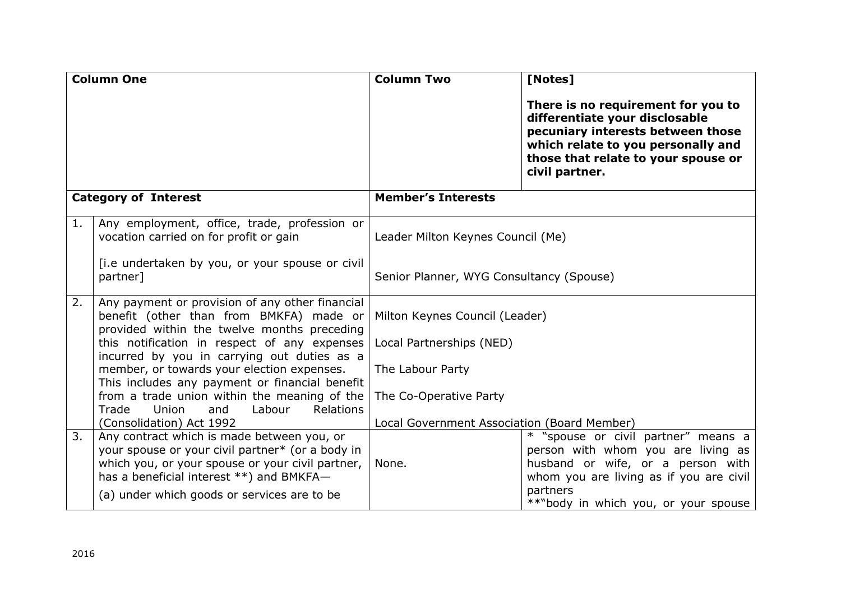| <b>Column One</b>           |                                                                                                                                                                                                | <b>Column Two</b>                           | [Notes]                                                                                                                                                                                                  |
|-----------------------------|------------------------------------------------------------------------------------------------------------------------------------------------------------------------------------------------|---------------------------------------------|----------------------------------------------------------------------------------------------------------------------------------------------------------------------------------------------------------|
|                             |                                                                                                                                                                                                |                                             | There is no requirement for you to<br>differentiate your disclosable<br>pecuniary interests between those<br>which relate to you personally and<br>those that relate to your spouse or<br>civil partner. |
| <b>Category of Interest</b> |                                                                                                                                                                                                | <b>Member's Interests</b>                   |                                                                                                                                                                                                          |
| 1.                          | Any employment, office, trade, profession or<br>vocation carried on for profit or gain                                                                                                         | Leader Milton Keynes Council (Me)           |                                                                                                                                                                                                          |
|                             | [i.e undertaken by you, or your spouse or civil<br>partner]                                                                                                                                    | Senior Planner, WYG Consultancy (Spouse)    |                                                                                                                                                                                                          |
| 2.                          | Any payment or provision of any other financial<br>benefit (other than from BMKFA) made or<br>provided within the twelve months preceding                                                      | Milton Keynes Council (Leader)              |                                                                                                                                                                                                          |
|                             | this notification in respect of any expenses<br>incurred by you in carrying out duties as a                                                                                                    | Local Partnerships (NED)                    |                                                                                                                                                                                                          |
|                             | member, or towards your election expenses.<br>This includes any payment or financial benefit                                                                                                   | The Labour Party                            |                                                                                                                                                                                                          |
|                             | from a trade union within the meaning of the<br>Labour<br>Trade<br>Union<br>and<br><b>Relations</b>                                                                                            | The Co-Operative Party                      |                                                                                                                                                                                                          |
|                             | (Consolidation) Act 1992                                                                                                                                                                       | Local Government Association (Board Member) |                                                                                                                                                                                                          |
| 3.                          | Any contract which is made between you, or<br>your spouse or your civil partner* (or a body in<br>which you, or your spouse or your civil partner,<br>has a beneficial interest **) and BMKFA- | None.                                       | * "spouse or civil partner" means a<br>person with whom you are living as<br>husband or wife, or a person with<br>whom you are living as if you are civil                                                |
|                             | (a) under which goods or services are to be                                                                                                                                                    |                                             | partners<br>**"body in which you, or your spouse                                                                                                                                                         |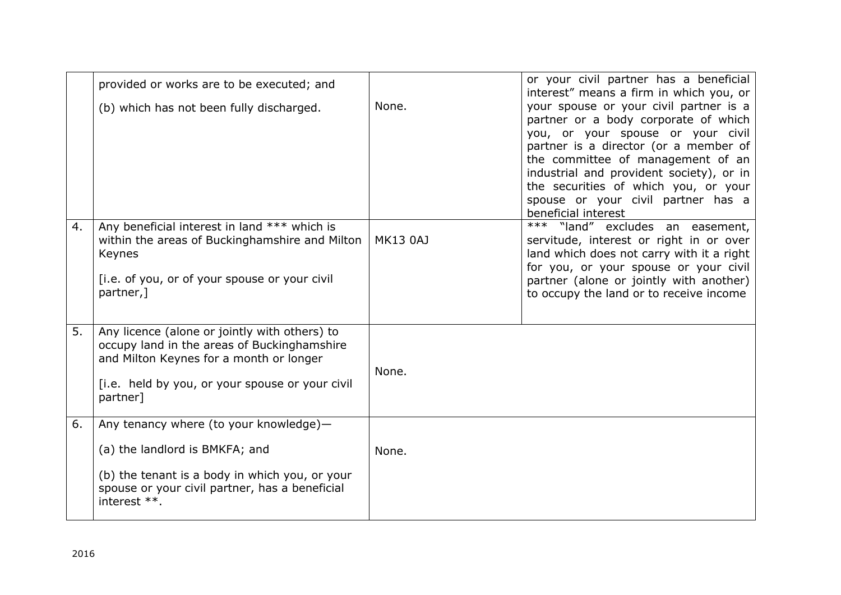|    | provided or works are to be executed; and                                                                                                                                                              |                 | or your civil partner has a beneficial<br>interest" means a firm in which you, or                                                                                                                                                                                                                                                                  |
|----|--------------------------------------------------------------------------------------------------------------------------------------------------------------------------------------------------------|-----------------|----------------------------------------------------------------------------------------------------------------------------------------------------------------------------------------------------------------------------------------------------------------------------------------------------------------------------------------------------|
|    | (b) which has not been fully discharged.                                                                                                                                                               | None.           | your spouse or your civil partner is a<br>partner or a body corporate of which<br>you, or your spouse or your civil<br>partner is a director (or a member of<br>the committee of management of an<br>industrial and provident society), or in<br>the securities of which you, or your<br>spouse or your civil partner has a<br>beneficial interest |
| 4. | Any beneficial interest in land *** which is<br>within the areas of Buckinghamshire and Milton<br>Keynes<br>[i.e. of you, or of your spouse or your civil<br>partner, 1                                | <b>MK13 0AJ</b> | *** "land" excludes an easement,<br>servitude, interest or right in or over<br>land which does not carry with it a right<br>for you, or your spouse or your civil<br>partner (alone or jointly with another)<br>to occupy the land or to receive income                                                                                            |
| 5. | Any licence (alone or jointly with others) to<br>occupy land in the areas of Buckinghamshire<br>and Milton Keynes for a month or longer<br>[i.e. held by you, or your spouse or your civil<br>partner] | None.           |                                                                                                                                                                                                                                                                                                                                                    |
| 6. | Any tenancy where (to your knowledge)-<br>(a) the landlord is BMKFA; and<br>(b) the tenant is a body in which you, or your<br>spouse or your civil partner, has a beneficial<br>interest **.           | None.           |                                                                                                                                                                                                                                                                                                                                                    |